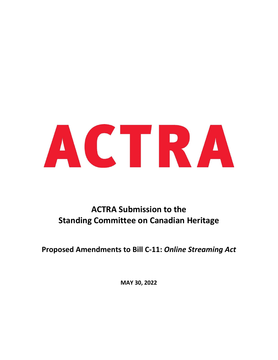

# **ACTRA Submission to the Standing Committee on Canadian Heritage**

**Proposed Amendments to Bill C-11:** *Online Streaming Act*

**MAY 30, 2022**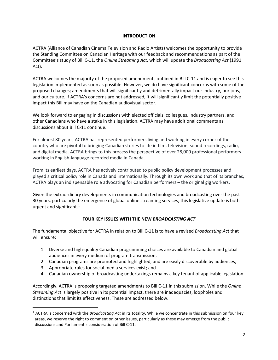## **INTRODUCTION**

ACTRA (Alliance of Canadian Cinema Television and Radio Artists) welcomes the opportunity to provide the Standing Committee on Canadian Heritage with our feedback and recommendations as part of the Committee's study of Bill C-11, the *Online Streaming Act*, which will update the *Broadcasting Act* (1991 Act).

ACTRA welcomes the majority of the proposed amendments outlined in Bill C-11 and is eager to see this legislation implemented as soon as possible. However, we do have significant concerns with some of the proposed changes; amendments that will significantly and detrimentally impact our industry, our jobs, and our culture. If ACTRA's concerns are not addressed, it will significantly limit the potentially positive impact this Bill may have on the Canadian audiovisual sector.

We look forward to engaging in discussions with elected officials, colleagues, industry partners, and other Canadians who have a stake in this legislation. ACTRA may have additional comments as discussions about Bill C-11 continue.

For almost 80 years, ACTRA has represented performers living and working in every corner of the country who are pivotal to bringing Canadian stories to life in film, television, sound recordings, radio, and digital media. ACTRA brings to this process the perspective of over 28,000 professional performers working in English-language recorded media in Canada.

From its earliest days, ACTRA has actively contributed to public policy development processes and played a critical policy role in Canada and internationally. Through its own work and that of its branches, ACTRA plays an indispensable role advocating for Canadian performers – the original gig workers.

Given the extraordinary developments in communication technologies and broadcasting over the past 30 years, particularly the emergence of global online streaming services, this legislative update is both urgent and significant. [1](#page-1-0)

# **FOUR KEY ISSUES WITH THE NEW** *BROADCASTING ACT*

The fundamental objective for ACTRA in relation to Bill C-11 is to have a revised *Broadcasting Act* that will ensure:

- 1. Diverse and high-quality Canadian programming choices are available to Canadian and global audiences in every medium of program transmission;
- 2. Canadian programs are promoted and highlighted, and are easily discoverable by audiences;
- 3. Appropriate rules for social media services exist; and
- 4. Canadian ownership of broadcasting undertakings remains a key tenant of applicable legislation.

Accordingly, ACTRA is proposing targeted amendments to Bill C-11 in this submission. While the *Online Streaming Act* is largely positive in its potential impact, there are inadequacies, loopholes and distinctions that limit its effectiveness. These are addressed below.

<span id="page-1-0"></span><sup>1</sup> ACTRA is concerned with the *Broadcasting Act* in its totality. While we concentrate in this submission on four key areas, we reserve the right to comment on other issues, particularly as these may emerge from the public discussions and Parliament's consideration of Bill C-11.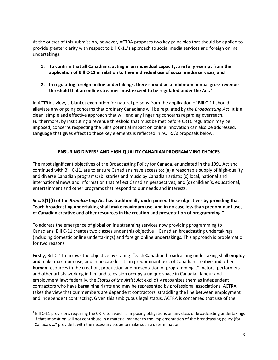At the outset of this submission, however, ACTRA proposes two key principles that should be applied to provide greater clarity with respect to Bill C-11's approach to social media services and foreign online undertakings:

- **1. To confirm that all Canadians, acting in an individual capacity, are fully exempt from the application of Bill C-11 in relation to their individual use of social media services; and**
- **2. In regulating foreign online undertakings, there should be a minimum annual gross revenue threshold that an online streamer must exceed to be regulated under the Act.** [2](#page-2-0)

In ACTRA's view, a blanket exemption for natural persons from the application of Bill C-11 should alleviate any ongoing concerns that ordinary Canadians will be regulated by the *Broadcasting Act*. It is a clean, simple and effective approach that will end any lingering concerns regarding overreach. Furthermore, by instituting a revenue threshold that must be met before CRTC regulation may be imposed, concerns respecting the Bill's potential impact on online innovation can also be addressed. Language that gives effect to these key elements is reflected in ACTRA's proposals below.

# **ENSURING DIVERSE AND HIGH-QUALITY CANADIAN PROGRAMMING CHOICES**

The most significant objectives of the Broadcasting Policy for Canada, enunciated in the 1991 Act and continued with Bill C-11, are to ensure Canadians have access to: (a) a reasonable supply of high-quality and diverse Canadian programs; (b) stories and music by Canadian artists; (c) local, national and international news and information that reflect Canadian perspectives; and (d) children's, educational, entertainment and other programs that respond to our needs and interests.

# **Sec. 3(1)(f) of the** *Broadcasting Act* **has traditionally underpinned these objectives by providing that "each broadcasting undertaking shall make maximum use, and in no case less than predominant use, of Canadian creative and other resources in the creation and presentation of programming."**

To address the emergence of global online streaming services now providing programming to Canadians, Bill C-11 creates two classes under this objective – Canadian broadcasting undertakings (including domestic online undertakings) and foreign online undertakings. This approach is problematic for two reasons.

Firstly, Bill C-11 narrows the objective by stating: "each **Canadian** broadcasting undertaking shall **employ and** make maximum use, and in no case less than predominant use, of Canadian creative and other **human** resources in the creation, production and presentation of programming…". Actors, performers and other artists working in film and television occupy a unique space in Canadian labour and employment law: federally, the *Status of the Artist Act* explicitly recognizes them as independent contractors who have bargaining rights and may be represented by professional associations. ACTRA takes the view that our members are dependent contractors, straddling the line between employment and independent contracting. Given this ambiguous legal status, ACTRA is concerned that use of the

<span id="page-2-0"></span><sup>&</sup>lt;sup>2</sup> Bill C-11 provisions requiring the CRTC to avoid "... imposing obligations on any class of broadcasting undertakings if that imposition will not contribute in a material manner to the implementation of the broadcasting policy (for Canada); …" provide it with the necessary scope to make such a determination.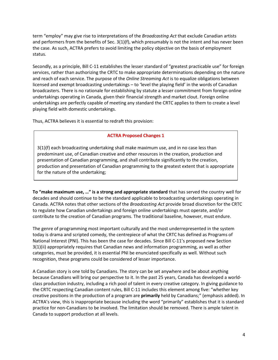term "employ" may give rise to interpretations of the *Broadcasting Act* that exclude Canadian artists and performers from the benefits of Sec. 3(1)(f), which presumably is not the intent and has never been the case. As such, ACTRA prefers to avoid limiting the policy objective on the basis of employment status.

Secondly, as a principle, Bill C-11 establishes the lesser standard of "greatest practicable use" for foreign services, rather than authorizing the CRTC to make appropriate determinations depending on the nature and reach of each service. The purpose of the *Online Streaming Act* is to equalize obligations between licensed and exempt broadcasting undertakings – to 'level the playing field' in the words of Canadian broadcasters. There is no rationale for establishing by statute a lesser commitment from foreign online undertakings operating in Canada, given their financial strength and market clout. Foreign online undertakings are perfectly capable of meeting any standard the CRTC applies to them to create a level playing field with domestic undertakings.

Thus, ACTRA believes it is essential to redraft this provision:

# **ACTRA Proposed Changes 1**

3(1)(f) each broadcasting undertaking shall make maximum use, and in no case less than predominant use, of Canadian creative and other resources in the creation, production and presentation of Canadian programming, and shall contribute significantly to the creation, production and presentation of Canadian programming to the greatest extent that is appropriate for the nature of the undertaking;

**To "make maximum use, …" is a strong and appropriate standard** that has served the country well for decades and should continue to be the standard applicable to broadcasting undertakings operating in Canada. ACTRA notes that other sections of the *Broadcasting Act* provide broad discretion for the CRTC to regulate how Canadian undertakings and foreign online undertakings must operate, and/or contribute to the creation of Canadian programs. The traditional baseline, however, must endure.

The genre of programming most important culturally and the most underrepresented in the system today is drama and scripted comedy, the centrepiece of what the CRTC has defined as Programs of National Interest (PNI). This has been the case for decades. Since Bill C-11's proposed new Section 3(1)(ii) appropriately requires that Canadian news and information programming, as well as other categories, must be provided, it is essential PNI be enunciated specifically as well. Without such recognition, these programs could be considered of lesser importance.

A Canadian story is one told by Canadians. The story can be set anywhere and be about anything because Canadians will bring our perspective to it. In the past 25 years, Canada has developed a worldclass production industry, including a rich pool of talent in every creative category. In giving guidance to the CRTC respecting Canadian content rules, Bill C-11 includes this element among five: "whether key creative positions in the production of a program are **primarily** held by Canadians;" (emphasis added). In ACTRA's view, this is inappropriate because including the word "primarily" establishes that it is standard practice for non-Canadians to be involved. The limitation should be removed. There is ample talent in Canada to support production at all levels.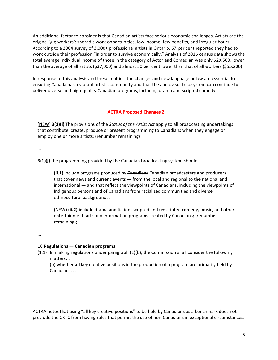An additional factor to consider is that Canadian artists face serious economic challenges. Artists are the original 'gig workers': sporadic work opportunities, low income, few benefits, and irregular hours. According to a 2004 survey of 3,000+ professional artists in Ontario, 67 per cent reported they had to work outside their profession "in order to survive economically." Analysis of 2016 census data shows the total average individual income of those in the category of Actor and Comedian was only \$29,500, lower than the average of all artists (\$37,000) and almost 50 per cent lower than that of all workers (\$55,200).

In response to this analysis and these realties, the changes and new language below are essential to ensuring Canada has a vibrant artistic community and that the audiovisual ecosystem can continue to deliver diverse and high-quality Canadian programs, including drama and scripted comedy.

#### **ACTRA Proposed Changes 2**

(NEW) **3(1)(i)** The provisions of the *Status of the Artist Act* apply to all broadcasting undertakings that contribute, create, produce or present programming to Canadians when they engage or employ one or more artists; (renumber remaining)

…

**3(1)(j)** the programming provided by the Canadian broadcasting system should ...

**(ii.1)** include programs produced by Canadians Canadian broadcasters and producers that cover news and current events — from the local and regional to the national and international — and that reflect the viewpoints of Canadians, including the viewpoints of Indigenous persons and of Canadians from racialized communities and diverse ethnocultural backgrounds;

(NEW) **(ii.2)** include drama and fiction, scripted and unscripted comedy, music, and other entertainment, arts and information programs created by Canadians; (renumber remaining);

…

### 10 **Regulations — Canadian programs**

(1.1) In making regulations under paragraph (1)(b), the Commission shall consider the following matters; …

(b) whether **all** key creative positions in the production of a program are primarily held by Canadians; …

ACTRA notes that using "all key creative positions" to be held by Canadians as a benchmark does not preclude the CRTC from having rules that permit the use of non-Canadians in exceptional circumstances.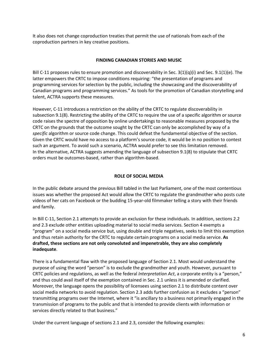It also does not change coproduction treaties that permit the use of nationals from each of the coproduction partners in key creative positions.

## **FINDING CANADIAN STORIES AND MUSIC**

Bill C-11 proposes rules to ensure promotion and discoverability in Sec. 3(1)(q)(i) and Sec. 9.1(1)(e). The latter empowers the CRTC to impose conditions requiring: "the presentation of programs and programming services for selection by the public, including the showcasing and the discoverability of Canadian programs and programming services." As tools for the promotion of Canadian storytelling and talent, ACTRA supports these measures.

However, C-11 introduces a restriction on the ability of the CRTC to regulate discoverability in subsection 9.1(8). Restricting the ability of the CRTC to require the use of a specific algorithm or source code raises the spectre of opposition by online undertakings to reasonable measures proposed by the CRTC on the grounds that the outcome sought by the CRTC can only be accomplished by way of a *specific* algorithm or source code change. This could defeat the fundamental objective of the section. Given the CRTC would have no access to a platform's source code, it would be in no position to contest such an argument. To avoid such a scenario, ACTRA would prefer to see this limitation removed. In the alternative, ACTRA suggests amending the language of subsection 9.1(8) to stipulate that CRTC orders must be outcomes-based, rather than algorithm-based.

## **ROLE OF SOCIAL MEDIA**

In the public debate around the previous Bill tabled in the last Parliament, one of the most contentious issues was whether the proposed Act would allow the CRTC to regulate the grandmother who posts cute videos of her cats on Facebook or the budding 15-year-old filmmaker telling a story with their friends and family.

In Bill C-11, Section 2.1 attempts to provide an exclusion for these individuals. In addition, sections 2.2 and 2.3 exclude other entities uploading material to social media services. Section 4 exempts a "program" on a social media service but, using double and triple negatives, seeks to limit this exemption and thus retain authority for the CRTC to regulate certain programs on a social media service. **As drafted, these sections are not only convoluted and impenetrable, they are also completely inadequate**.

There is a fundamental flaw with the proposed language of Section 2.1. Most would understand the purpose of using the word "person" is to exclude the grandmother and youth. However, pursuant to CRTC policies and regulations, as well as the federal *Interpretation Act*, a corporate entity is a "person," and thus could avail itself of the exemption contained in Sec. 2.1 unless it is amended or clarified. Moreover, the language opens the possibility of licensees using section 2.1 to distribute content over social media networks to avoid regulation. Section 2.3 adds further confusion as it excludes a "person" transmitting programs over the Internet, where it "is ancillary to a business not primarily engaged in the transmission of programs to the public and that is intended to provide clients with information or services directly related to that business."

Under the current language of sections 2.1 and 2.3, consider the following examples: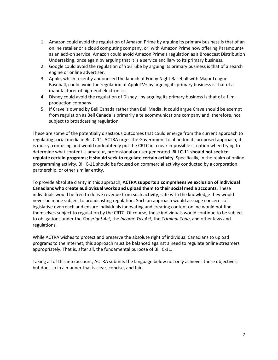- 1. Amazon could avoid the regulation of Amazon Prime by arguing its primary business is that of an online retailer or a cloud computing company, or; with Amazon Prime now offering Paramount+ as an add-on service, Amazon could avoid Amazon Prime's regulation as a Broadcast Distribution Undertaking, once again by arguing that it is a service ancillary to its primary business.
- 2. Google could avoid the regulation of YouTube by arguing its primary business is that of a search engine or online advertiser.
- 3. Apple, which recently announced the launch of Friday Night Baseball with Major League Baseball, could avoid the regulation of AppleTV+ by arguing its primary business is that of a manufacturer of high-end electronics.
- 4. Disney could avoid the regulation of Disney+ by arguing its primary business is that of a film production company.
- 5. If Crave is owned by Bell Canada rather than Bell Media, it could argue Crave should be exempt from regulation as Bell Canada is primarily a telecommunications company and, therefore, not subject to broadcasting regulation.

These are some of the potentially disastrous outcomes that could emerge from the current approach to regulating social media in Bill C-11. ACTRA urges the Government to abandon its proposed approach; it is messy, confusing and would undoubtedly put the CRTC in a near impossible situation when trying to determine what content is amateur, professional or user-generated. **Bill C-11 should not seek to regulate certain programs; it should seek to regulate certain activity**. Specifically, in the realm of online programming activity, Bill C-11 should be focused on commercial activity conducted by a corporation, partnership, or other similar entity.

To provide absolute clarity in this approach, **ACTRA supports a comprehensive exclusion of individual Canadians who create audiovisual works and upload them to their social media accounts**. These individuals would be free to derive revenue from such activity, safe with the knowledge they would never be made subject to broadcasting regulation. Such an approach would assuage concerns of legislative overreach and ensure individuals innovating and creating content online would not find themselves subject to regulation by the CRTC. Of course, these individuals would continue to be subject to obligations under the *Copyright Act*, the *Income Tax Act*, the *Criminal Code*, and other laws and regulations.

While ACTRA wishes to protect and preserve the absolute right of individual Canadians to upload programs to the Internet, this approach must be balanced against a need to regulate online streamers appropriately. That is, after all, the fundamental purpose of Bill C-11.

Taking all of this into account, ACTRA submits the language below not only achieves these objectives, but does so in a manner that is clear, concise, and fair.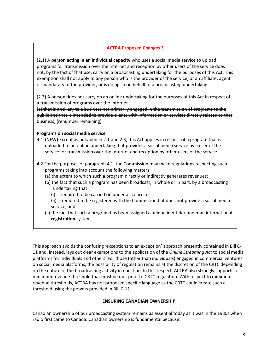## **ACTRA Proposed Changes 3**

(2.1) A **person acting in an individual capacity** who uses a social media service to upload programs for transmission over the Internet and reception by other users of the service does not, by the fact of that use, carry on a broadcasting undertaking for the purposes of this Act. This exemption shall not apply to any person who is the provider of the service, or an affiliate, agent or mandatary of the provider, or is doing so on behalf of a broadcasting undertaking.

(2.3) A person does not carry on an online undertaking for the purposes of this Act in respect of a transmission of programs over the Internet

(a) that is ancillary to a business not primarily engaged in the transmission of programs to the public and that is intended to provide clients with information or services directly related to that business; (renumber remaining)

## **Programs on social media service**

- 4.1 (NEW) Except as provided in 2.1 and 2.3, this Act applies in respect of a program that is uploaded to an online undertaking that provides a social media service by a user of the service for transmission over the Internet and reception by other users of the service.
- 4.2 For the purposes of paragraph 4.1, the Commission may make regulations respecting such programs taking into account the following matters:
	- (a) the extent to which such a program directly or indirectly generates revenues;
	- (b) the fact that such a program has been broadcast, in whole or in part, by a broadcasting undertaking that
		- (i) is required to be carried on under a licence, or
		- (ii) is required to be registered with the Commission but does not provide a social media service; and
	- (c) the fact that such a program has been assigned a unique identifier under an international **registration** system.

This approach avoids the confusing 'exceptions to an exception' approach presently contained in Bill C-11 and, instead, lays out clear exemptions to the application of the *Online Streaming Act* to social media platforms for individuals and others. For those (other than individuals) engaged in commercial ventures on social media platforms, the possibility of regulation remains at the discretion of the CRTC depending on the nature of the broadcasting activity in question. In this respect, ACTRA also strongly supports a minimum revenue threshold that must be met prior to CRTC regulation. With respect to minimum revenue thresholds, ACTRA has not proposed specific language as the CRTC could create such a threshold using the powers provided in Bill C-11.

# **ENSURING CANADIAN OWNERSHIP**

Canadian ownership of our broadcasting system remains as essential today as it was in the 1930s when radio first came to Canada. Canadian ownership is fundamental because: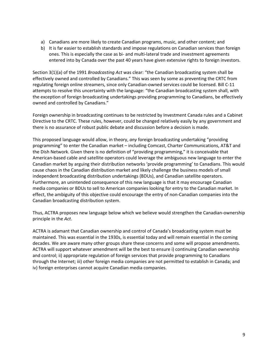- a) Canadians are more likely to create Canadian programs, music, and other content; and
- b) It is far easier to establish standards and impose regulations on Canadian services than foreign ones. This is especially the case as bi- and multi-lateral trade and investment agreements entered into by Canada over the past 40 years have given extensive rights to foreign investors.

Section 3(1)(a) of the 1991 *Broadcasting Act* was clear: "the Canadian broadcasting system shall be effectively owned and controlled by Canadians." This was seen by some as preventing the CRTC from regulating foreign online streamers, since only Canadian-owned services could be licensed. Bill C-11 attempts to resolve this uncertainty with the language: "the Canadian broadcasting system shall, with the exception of foreign broadcasting undertakings providing programming to Canadians, be effectively owned and controlled by Canadians."

Foreign ownership in broadcasting continues to be restricted by Investment Canada rules and a Cabinet Directive to the CRTC. These rules, however, could be changed relatively easily by any government and there is no assurance of robust public debate and discussion before a decision is made.

This proposed language would allow, in theory, *any* foreign broadcasting undertaking "providing programming" to enter the Canadian market – including Comcast, Charter Communications, AT&T and the Dish Network. Given there is no definition of "providing programming," it is conceivable that American-based cable and satellite operators could leverage the ambiguous new language to enter the Canadian market by arguing their distribution networks 'provide programming' to Canadians. This would cause chaos in the Canadian distribution market and likely challenge the business models of small independent broadcasting distribution undertakings (BDUs), and Canadian satellite operators. Furthermore, an unintended consequence of this new language is that it may encourage Canadian media companies or BDUs to sell to American companies looking for entry to the Canadian market. In effect, the ambiguity of this objective could encourage the entry of non-Canadian companies into the Canadian broadcasting distribution system.

Thus, ACTRA proposes new language below which we believe would strengthen the Canadian-ownership principle in the *Act*.

ACTRA is adamant that Canadian ownership and control of Canada's broadcasting system must be maintained. This was essential in the 1930s, is essential today and will remain essential in the coming decades. We are aware many other groups share these concerns and some will propose amendments. ACTRA will support whatever amendment will be the best to ensure i) continuing Canadian ownership and control; ii) appropriate regulation of foreign services that provide programming to Canadians through the Internet; iii) other foreign media companies are not permitted to establish in Canada; and iv) foreign enterprises cannot acquire Canadian media companies.